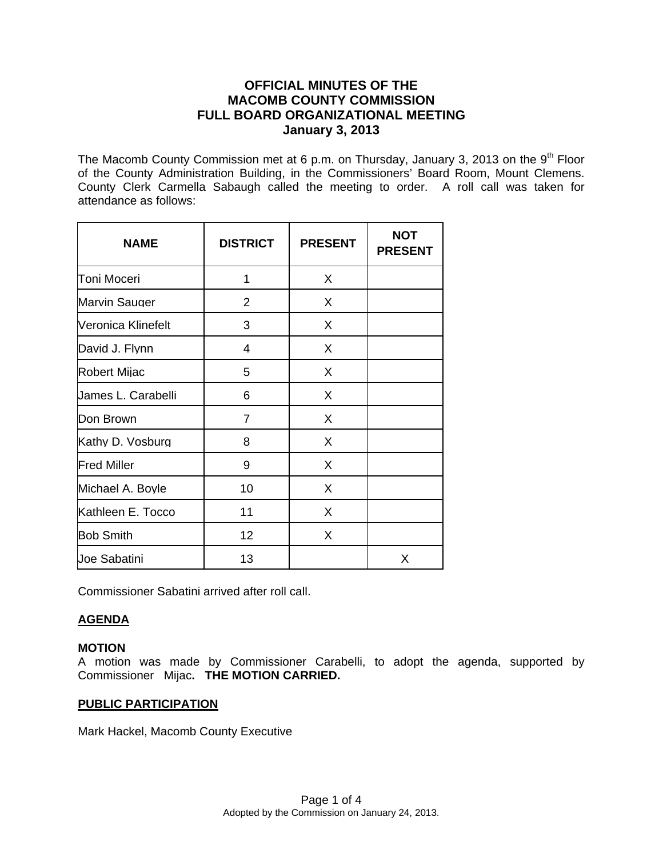# **OFFICIAL MINUTES OF THE MACOMB COUNTY COMMISSION FULL BOARD ORGANIZATIONAL MEETING January 3, 2013**

The Macomb County Commission met at 6 p.m. on Thursday, January 3, 2013 on the  $9<sup>th</sup>$  Floor of the County Administration Building, in the Commissioners' Board Room, Mount Clemens. County Clerk Carmella Sabaugh called the meeting to order. A roll call was taken for attendance as follows:

| <b>NAME</b>          | <b>DISTRICT</b> | <b>PRESENT</b> | <b>NOT</b><br><b>PRESENT</b> |
|----------------------|-----------------|----------------|------------------------------|
| <b>Toni Moceri</b>   | 1               | X              |                              |
| <b>Marvin Sauger</b> | $\overline{2}$  | X              |                              |
| Veronica Klinefelt   | 3               | X              |                              |
| David J. Flynn       | 4               | X              |                              |
| <b>Robert Mijac</b>  | 5               | X              |                              |
| James L. Carabelli   | 6               | X              |                              |
| Don Brown            | $\overline{7}$  | X              |                              |
| Kathy D. Vosburg     | 8               | X              |                              |
| <b>Fred Miller</b>   | 9               | X              |                              |
| Michael A. Boyle     | 10              | X              |                              |
| Kathleen E. Tocco    | 11              | X              |                              |
| <b>Bob Smith</b>     | 12 <sub>2</sub> | X              |                              |
| <b>Joe Sabatini</b>  | 13              |                | X                            |

Commissioner Sabatini arrived after roll call.

## **AGENDA**

## **MOTION**

A motion was made by Commissioner Carabelli, to adopt the agenda, supported by Commissioner Mijac**. THE MOTION CARRIED.** 

## **PUBLIC PARTICIPATION**

Mark Hackel, Macomb County Executive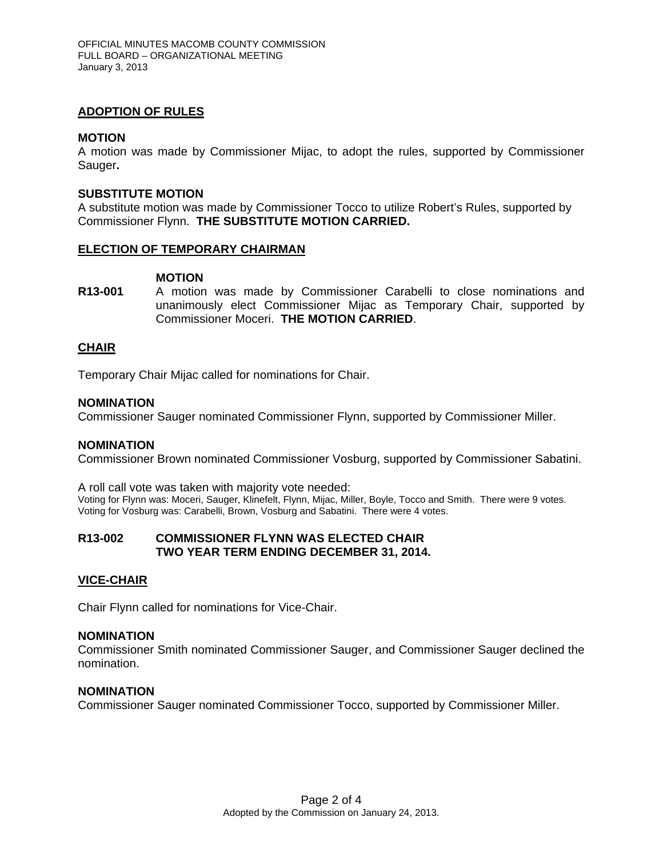## **ADOPTION OF RULES**

## **MOTION**

A motion was made by Commissioner Mijac, to adopt the rules, supported by Commissioner Sauger**.** 

## **SUBSTITUTE MOTION**

A substitute motion was made by Commissioner Tocco to utilize Robert's Rules, supported by Commissioner Flynn. **THE SUBSTITUTE MOTION CARRIED.**

## **ELECTION OF TEMPORARY CHAIRMAN**

#### **MOTION**

**R13-001** A motion was made by Commissioner Carabelli to close nominations and unanimously elect Commissioner Mijac as Temporary Chair, supported by Commissioner Moceri. **THE MOTION CARRIED**.

## **CHAIR**

Temporary Chair Mijac called for nominations for Chair.

#### **NOMINATION**

Commissioner Sauger nominated Commissioner Flynn, supported by Commissioner Miller.

## **NOMINATION**

Commissioner Brown nominated Commissioner Vosburg, supported by Commissioner Sabatini.

A roll call vote was taken with majority vote needed: Voting for Flynn was: Moceri, Sauger, Klinefelt, Flynn, Mijac, Miller, Boyle, Tocco and Smith. There were 9 votes. Voting for Vosburg was: Carabelli, Brown, Vosburg and Sabatini. There were 4 votes.

## **R13-002 COMMISSIONER FLYNN WAS ELECTED CHAIR TWO YEAR TERM ENDING DECEMBER 31, 2014.**

## **VICE-CHAIR**

Chair Flynn called for nominations for Vice-Chair.

## **NOMINATION**

Commissioner Smith nominated Commissioner Sauger, and Commissioner Sauger declined the nomination.

#### **NOMINATION**

Commissioner Sauger nominated Commissioner Tocco, supported by Commissioner Miller.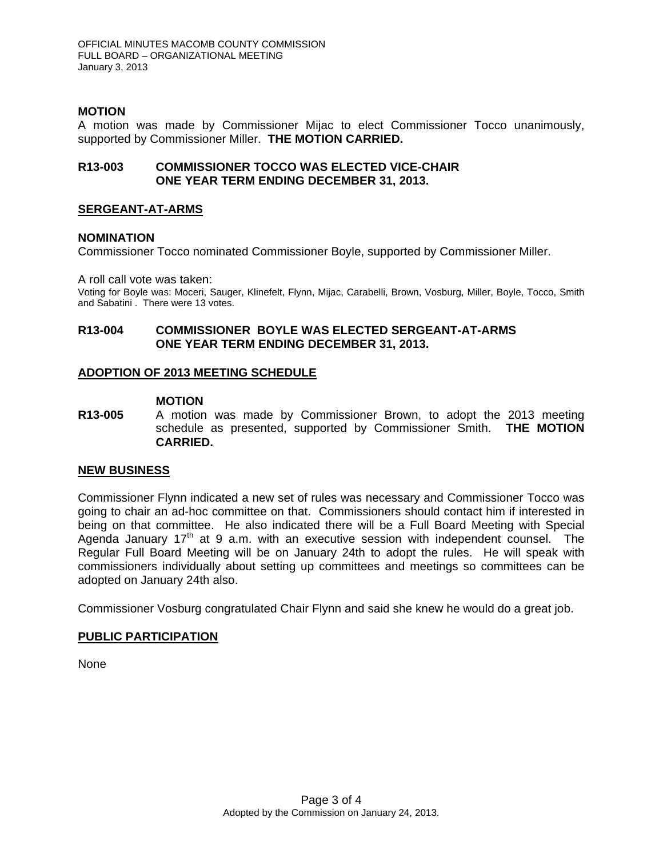## **MOTION**

A motion was made by Commissioner Mijac to elect Commissioner Tocco unanimously, supported by Commissioner Miller. **THE MOTION CARRIED.**

## **R13-003 COMMISSIONER TOCCO WAS ELECTED VICE-CHAIR ONE YEAR TERM ENDING DECEMBER 31, 2013.**

## **SERGEANT-AT-ARMS**

## **NOMINATION**

Commissioner Tocco nominated Commissioner Boyle, supported by Commissioner Miller.

A roll call vote was taken:

Voting for Boyle was: Moceri, Sauger, Klinefelt, Flynn, Mijac, Carabelli, Brown, Vosburg, Miller, Boyle, Tocco, Smith and Sabatini . There were 13 votes.

## **R13-004 COMMISSIONER BOYLE WAS ELECTED SERGEANT-AT-ARMS ONE YEAR TERM ENDING DECEMBER 31, 2013.**

## **ADOPTION OF 2013 MEETING SCHEDULE**

## **MOTION**

**R13-005** A motion was made by Commissioner Brown, to adopt the 2013 meeting schedule as presented, supported by Commissioner Smith. **THE MOTION CARRIED.**

## **NEW BUSINESS**

Commissioner Flynn indicated a new set of rules was necessary and Commissioner Tocco was going to chair an ad-hoc committee on that. Commissioners should contact him if interested in being on that committee. He also indicated there will be a Full Board Meeting with Special Agenda January  $17<sup>th</sup>$  at 9 a.m. with an executive session with independent counsel. The Regular Full Board Meeting will be on January 24th to adopt the rules. He will speak with commissioners individually about setting up committees and meetings so committees can be adopted on January 24th also.

Commissioner Vosburg congratulated Chair Flynn and said she knew he would do a great job.

## **PUBLIC PARTICIPATION**

None